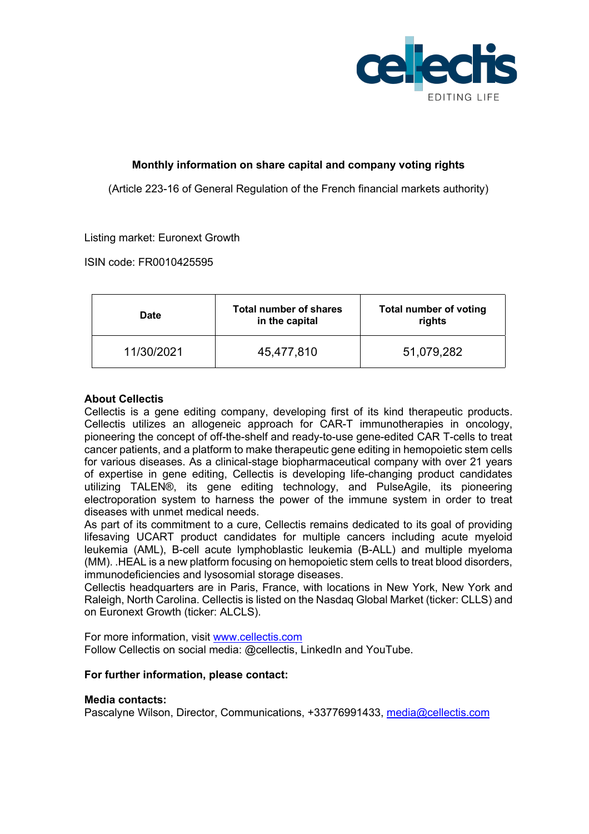

# **Monthly information on share capital and company voting rights**

(Article 223-16 of General Regulation of the French financial markets authority)

## Listing market: Euronext Growth

ISIN code: FR0010425595

| <b>Date</b> | <b>Total number of shares</b><br>in the capital | <b>Total number of voting</b><br>rights |
|-------------|-------------------------------------------------|-----------------------------------------|
| 11/30/2021  | 45,477,810                                      | 51,079,282                              |

## **About Cellectis**

Cellectis is a gene editing company, developing first of its kind therapeutic products. Cellectis utilizes an allogeneic approach for CAR-T immunotherapies in oncology, pioneering the concept of off-the-shelf and ready-to-use gene-edited CAR T-cells to treat cancer patients, and a platform to make therapeutic gene editing in hemopoietic stem cells for various diseases. As a clinical-stage biopharmaceutical company with over 21 years of expertise in gene editing, Cellectis is developing life-changing product candidates utilizing TALEN®, its gene editing technology, and PulseAgile, its pioneering electroporation system to harness the power of the immune system in order to treat diseases with unmet medical needs.

As part of its commitment to a cure, Cellectis remains dedicated to its goal of providing lifesaving UCART product candidates for multiple cancers including acute myeloid leukemia (AML), B-cell acute lymphoblastic leukemia (B-ALL) and multiple myeloma (MM). .HEAL is a new platform focusing on hemopoietic stem cells to treat blood disorders, immunodeficiencies and lysosomial storage diseases.

Cellectis headquarters are in Paris, France, with locations in New York, New York and Raleigh, North Carolina. Cellectis is listed on the Nasdaq Global Market (ticker: CLLS) and on Euronext Growth (ticker: ALCLS).

For more information, visit www.cellectis.com Follow Cellectis on social media: @cellectis, LinkedIn and YouTube.

## **For further information, please contact:**

## **Media contacts:**

Pascalyne Wilson, Director, Communications, +33776991433, media@cellectis.com